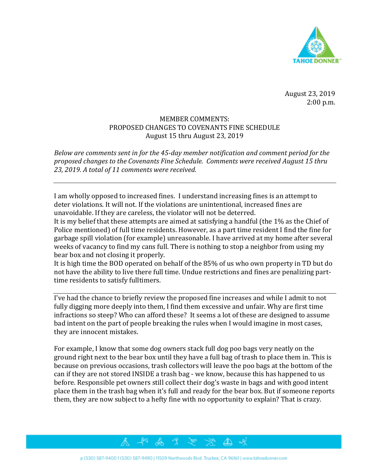

August 23, 2019 2:00 p.m.

## MEMBER COMMENTS: PROPOSED CHANGES TO COVENANTS FINE SCHEDULE August 15 thru August 23, 2019

*Below are comments sent in for the 45-day member notification and comment period for the proposed changes to the Covenants Fine Schedule. Comments were received August 15 thru 23, 2019. A total of 11 comments were received.* 

I am wholly opposed to increased fines. I understand increasing fines is an attempt to deter violations. It will not. If the violations are unintentional, increased fines are unavoidable. If they are careless, the violator will not be deterred.

It is my belief that these attempts are aimed at satisfying a handful (the 1% as the Chief of Police mentioned) of full time residents. However, as a part time resident I find the fine for garbage spill violation (for example) unreasonable. I have arrived at my home after several weeks of vacancy to find my cans full. There is nothing to stop a neighbor from using my bear box and not closing it properly.

It is high time the BOD operated on behalf of the 85% of us who own property in TD but do not have the ability to live there full time. Undue restrictions and fines are penalizing parttime residents to satisfy fulltimers.

I've had the chance to briefly review the proposed fine increases and while I admit to not fully digging more deeply into them, I find them excessive and unfair. Why are first time infractions so steep? Who can afford these? It seems a lot of these are designed to assume bad intent on the part of people breaking the rules when I would imagine in most cases, they are innocent mistakes.

For example, I know that some dog owners stack full dog poo bags very neatly on the ground right next to the bear box until they have a full bag of trash to place them in. This is because on previous occasions, trash collectors will leave the poo bags at the bottom of the can if they are not stored INSIDE a trash bag - we know, because this has happened to us before. Responsible pet owners still collect their dog's waste in bags and with good intent place them in the trash bag when it's full and ready for the bear box. But if someone reports them, they are now subject to a hefty fine with no opportunity to explain? That is crazy.

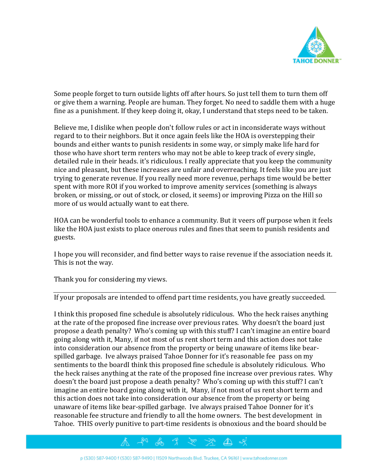

Some people forget to turn outside lights off after hours. So just tell them to turn them off or give them a warning. People are human. They forget. No need to saddle them with a huge fine as a punishment. If they keep doing it, okay, I understand that steps need to be taken.

Believe me, I dislike when people don't follow rules or act in inconsiderate ways without regard to to their neighbors. But it once again feels like the HOA is overstepping their bounds and either wants to punish residents in some way, or simply make life hard for those who have short term renters who may not be able to keep track of every single, detailed rule in their heads. it's ridiculous. I really appreciate that you keep the community nice and pleasant, but these increases are unfair and overreaching. It feels like you are just trying to generate revenue. If you really need more revenue, perhaps time would be better spent with more ROI if you worked to improve amenity services (something is always broken, or missing, or out of stock, or closed, it seems) or improving Pizza on the Hill so more of us would actually want to eat there.

HOA can be wonderful tools to enhance a community. But it veers off purpose when it feels like the HOA just exists to place onerous rules and fines that seem to punish residents and guests.

I hope you will reconsider, and find better ways to raise revenue if the association needs it. This is not the way.

Thank you for considering my views.

If your proposals are intended to offend part time residents, you have greatly succeeded.

I think this proposed fine schedule is absolutely ridiculous. Who the heck raises anything at the rate of the proposed fine increase over previous rates. Why doesn't the board just propose a death penalty? Who's coming up with this stuff? I can't imagine an entire board going along with it, Many, if not most of us rent short term and this action does not take into consideration our absence from the property or being unaware of items like bearspilled garbage. Ive always praised Tahoe Donner for it's reasonable fee pass on my sentiments to the boardI think this proposed fine schedule is absolutely ridiculous. Who the heck raises anything at the rate of the proposed fine increase over previous rates. Why doesn't the board just propose a death penalty? Who's coming up with this stuff? I can't imagine an entire board going along with it, Many, if not most of us rent short term and this action does not take into consideration our absence from the property or being unaware of items like bear-spilled garbage. Ive always praised Tahoe Donner for it's reasonable fee structure and friendly to all the home owners. The best development in Tahoe. THIS overly punitive to part-time residents is obnoxious and the board should be

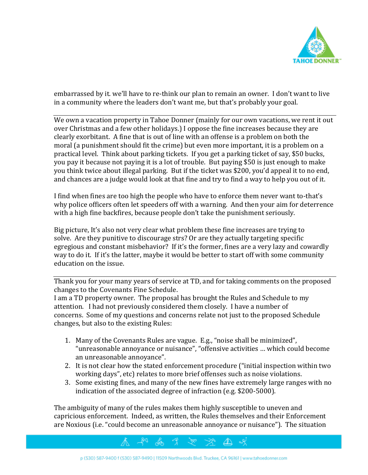

embarrassed by it. we'll have to re-think our plan to remain an owner. I don't want to live in a community where the leaders don't want me, but that's probably your goal.

We own a vacation property in Tahoe Donner (mainly for our own vacations, we rent it out over Christmas and a few other holidays.) I oppose the fine increases because they are clearly exorbitant. A fine that is out of line with an offense is a problem on both the moral (a punishment should fit the crime) but even more important, it is a problem on a practical level. Think about parking tickets. If you get a parking ticket of say, \$50 bucks, you pay it because not paying it is a lot of trouble. But paying \$50 is just enough to make you think twice about illegal parking. But if the ticket was \$200, you'd appeal it to no end, and chances are a judge would look at that fine and try to find a way to help you out of it.

I find when fines are too high the people who have to enforce them never want to-that's why police officers often let speeders off with a warning. And then your aim for deterrence with a high fine backfires, because people don't take the punishment seriously.

Big picture, It's also not very clear what problem these fine increases are trying to solve. Are they punitive to discourage strs? Or are they actually targeting specific egregious and constant misbehavior? If it's the former, fines are a very lazy and cowardly way to do it. If it's the latter, maybe it would be better to start off with some community education on the issue.

Thank you for your many years of service at TD, and for taking comments on the proposed changes to the Covenants Fine Schedule.

I am a TD property owner. The proposal has brought the Rules and Schedule to my attention. I had not previously considered them closely. I have a number of concerns. Some of my questions and concerns relate not just to the proposed Schedule changes, but also to the existing Rules:

- 1. Many of the Covenants Rules are vague. E.g., "noise shall be minimized", "unreasonable annoyance or nuisance", "offensive activities … which could become an unreasonable annoyance".
- 2. It is not clear how the stated enforcement procedure ("initial inspection within two working days", etc) relates to more brief offenses such as noise violations.
- 3. Some existing fines, and many of the new fines have extremely large ranges with no indication of the associated degree of infraction (e.g. \$200-5000).

The ambiguity of many of the rules makes them highly susceptible to uneven and capricious enforcement. Indeed, as written, the Rules themselves and their Enforcement are Noxious (i.e. "could become an unreasonable annoyance or nuisance"). The situation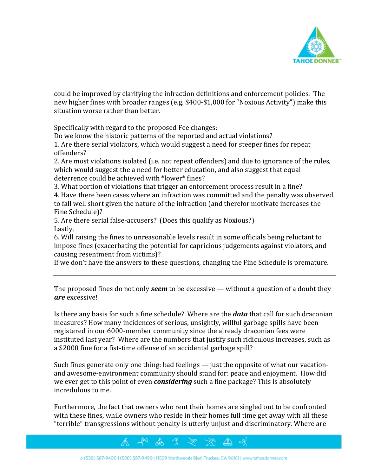

could be improved by clarifying the infraction definitions and enforcement policies. The new higher fines with broader ranges (e.g. \$400-\$1,000 for "Noxious Activity") make this situation worse rather than better.

Specifically with regard to the proposed Fee changes:

Do we know the historic patterns of the reported and actual violations?

1. Are there serial violators, which would suggest a need for steeper fines for repeat offenders?

2. Are most violations isolated (i.e. not repeat offenders) and due to ignorance of the rules, which would suggest the a need for better education, and also suggest that equal deterrence could be achieved with \*lower\* fines?

3. What portion of violations that trigger an enforcement process result in a fine? 4. Have there been cases where an infraction was committed and the penalty was observed to fall well short given the nature of the infraction (and therefor motivate increases the Fine Schedule)?

5. Are there serial false-accusers? (Does this qualify as Noxious?) Lastly,

6. Will raising the fines to unreasonable levels result in some officials being reluctant to impose fines (exacerbating the potential for capricious judgements against violators, and causing resentment from victims)?

If we don't have the answers to these questions, changing the Fine Schedule is premature.

The proposed fines do not only *seem* to be excessive — without a question of a doubt they *are* excessive!

Is there any basis for such a fine schedule? Where are the *data* that call for such draconian measures? How many incidences of serious, unsightly, willful garbage spills have been registered in our 6000-member community since the already draconian fees were instituted last year? Where are the numbers that justify such ridiculous increases, such as a \$2000 fine for a fist-time offense of an accidental garbage spill?

Such fines generate only one thing: bad feelings — just the opposite of what our vacationand awesome-environment community should stand for: peace and enjoyment. How did we ever get to this point of even *considering* such a fine package? This is absolutely incredulous to me.

Furthermore, the fact that owners who rent their homes are singled out to be confronted with these fines, while owners who reside in their homes full time get away with all these "terrible" transgressions without penalty is utterly unjust and discriminatory. Where are

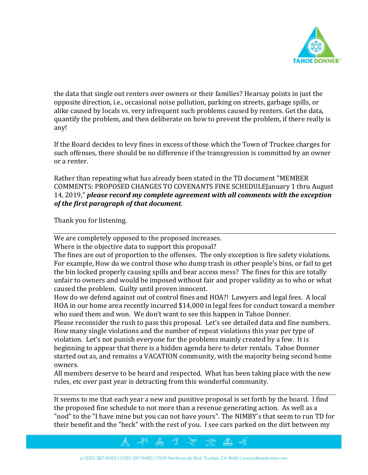

the data that single out renters over owners or their families? Hearsay points in just the opposite direction, i.e., occasional noise pollution, parking on streets, garbage spills, or alike caused by locals vs. very infrequent such problems caused by renters. Get the data, quantify the problem, and then deliberate on how to prevent the problem, if there really is any!

If the Board decides to levy fines in excess of those which the Town of Truckee charges for such offenses, there should be no difference if the transgression is committed by an owner or a renter.

Rather than repeating what has already been stated in the TD document "MEMBER COMMENTS: PROPOSED CHANGES TO COVENANTS FINE SCHEDULEJanuary 1 thru August 14, 2019," *please record my complete agreement with all comments with the exception of the first paragraph of that document*.

Thank you for listening.

We are completely opposed to the proposed increases.

Where is the objective data to support this proposal?

The fines are out of proportion to the offenses. The only exception is fire safety violations. For example, How do we control those who dump trash in other people's bins, or fail to get the bin locked properly causing spills and bear access mess? The fines for this are totally unfair to owners and would be imposed without fair and proper validity as to who or what caused the problem. Guilty until proven innocent.

How do we defend against out of control fines and HOA?! Lawyers and legal fees. A local HOA in our home area recently incurred \$14,000 in legal fees for conduct toward a member who sued them and won. We don't want to see this happen in Tahoe Donner.

Please reconsider the rush to pass this proposal. Let's see detailed data and fine numbers. How many single violations and the number of repeat violations this year per type of violation. Let's not punish everyone for the problems mainly created by a few. It is beginning to appear that there is a hidden agenda here to deter rentals. Tahoe Donner started out as, and remains a VACATION community, with the majority being second home owners.

All members deserve to be heard and respected. What has been taking place with the new rules, etc over past year is detracting from this wonderful community.

It seems to me that each year a new and punitive proposal is set forth by the board. I find the proposed fine schedule to not more than a revenue generating action. As well as a "nod" to the "I have mine but you can not have yours". The NIMBY's that seem to run TD for their benefit and the "heck" with the rest of you. I see cars parked on the dirt between my

## p (530) 587-9400 f (530) 587-9490 | 11509 Northwoods Blvd. Truckee, CA 96161 | www.tahoedonner.com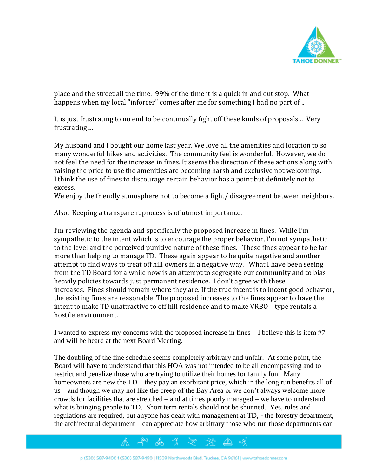

place and the street all the time. 99% of the time it is a quick in and out stop. What happens when my local "inforcer" comes after me for something I had no part of ..

It is just frustrating to no end to be continually fight off these kinds of proposals... Very frustrating....

My husband and I bought our home last year. We love all the amenities and location to so many wonderful hikes and activities. The community feel is wonderful. However, we do not feel the need for the increase in fines. It seems the direction of these actions along with raising the price to use the amenities are becoming harsh and exclusive not welcoming. I think the use of fines to discourage certain behavior has a point but definitely not to excess.

We enjoy the friendly atmosphere not to become a fight/ disagreement between neighbors.

Also. Keeping a transparent process is of utmost importance.

I'm reviewing the agenda and specifically the proposed increase in fines. While I'm sympathetic to the intent which is to encourage the proper behavior, I'm not sympathetic to the level and the perceived punitive nature of these fines. These fines appear to be far more than helping to manage TD. These again appear to be quite negative and another attempt to find ways to treat off hill owners in a negative way. What I have been seeing from the TD Board for a while now is an attempt to segregate our community and to bias heavily policies towards just permanent residence. I don't agree with these increases. Fines should remain where they are. If the true intent is to incent good behavior, the existing fines are reasonable. The proposed increases to the fines appear to have the intent to make TD unattractive to off hill residence and to make VRBO – type rentals a hostile environment.

I wanted to express my concerns with the proposed increase in fines – I believe this is item #7 and will be heard at the next Board Meeting.

The doubling of the fine schedule seems completely arbitrary and unfair. At some point, the Board will have to understand that this HOA was not intended to be all encompassing and to restrict and penalize those who are trying to utilize their homes for family fun. Many homeowners are new the TD – they pay an exorbitant price, which in the long run benefits all of us – and though we may not like the creep of the Bay Area or we don't always welcome more crowds for facilities that are stretched – and at times poorly managed – we have to understand what is bringing people to TD. Short term rentals should not be shunned. Yes, rules and regulations are required, but anyone has dealt with management at TD, - the forestry department, the architectural department – can appreciate how arbitrary those who run those departments can